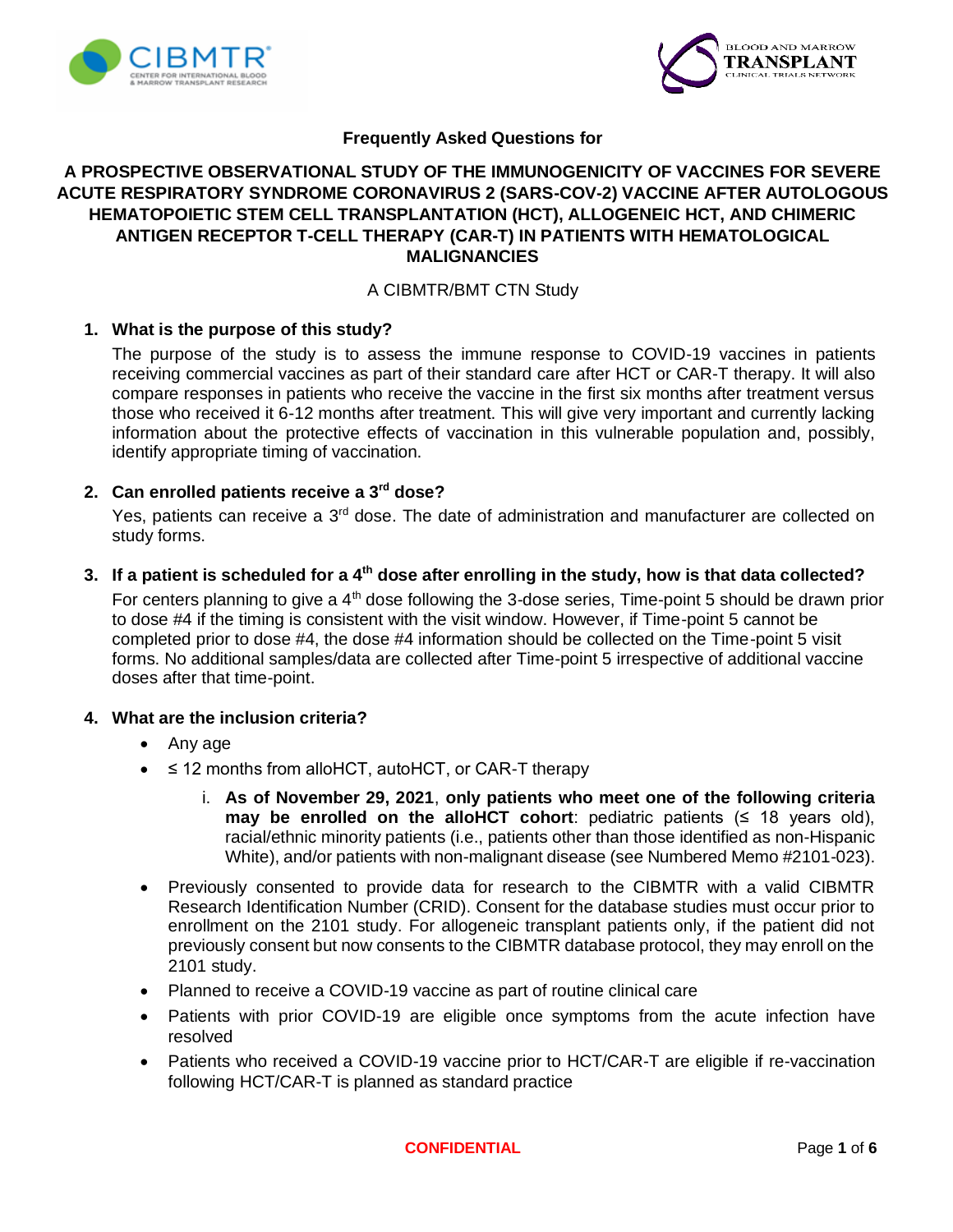



## **Frequently Asked Questions for**

# **A PROSPECTIVE OBSERVATIONAL STUDY OF THE IMMUNOGENICITY OF VACCINES FOR SEVERE ACUTE RESPIRATORY SYNDROME CORONAVIRUS 2 (SARS-COV-2) VACCINE AFTER AUTOLOGOUS HEMATOPOIETIC STEM CELL TRANSPLANTATION (HCT), ALLOGENEIC HCT, AND CHIMERIC ANTIGEN RECEPTOR T-CELL THERAPY (CAR-T) IN PATIENTS WITH HEMATOLOGICAL MALIGNANCIES**

## A CIBMTR/BMT CTN Study

## **1. What is the purpose of this study?**

The purpose of the study is to assess the immune response to COVID-19 vaccines in patients receiving commercial vaccines as part of their standard care after HCT or CAR-T therapy. It will also compare responses in patients who receive the vaccine in the first six months after treatment versus those who received it 6-12 months after treatment. This will give very important and currently lacking information about the protective effects of vaccination in this vulnerable population and, possibly, identify appropriate timing of vaccination.

# **2. Can enrolled patients receive a 3rd dose?**

Yes, patients can receive a 3<sup>rd</sup> dose. The date of administration and manufacturer are collected on study forms.

**3. If a patient is scheduled for a 4th dose after enrolling in the study, how is that data collected?**

For centers planning to give a 4<sup>th</sup> dose following the 3-dose series, Time-point 5 should be drawn prior to dose #4 if the timing is consistent with the visit window. However, if Time-point 5 cannot be completed prior to dose #4, the dose #4 information should be collected on the Time-point 5 visit forms. No additional samples/data are collected after Time-point 5 irrespective of additional vaccine doses after that time-point.

## **4. What are the inclusion criteria?**

- Any age
- ≤ 12 months from alloHCT, autoHCT, or CAR-T therapy
	- i. **As of November 29, 2021**, **only patients who meet one of the following criteria may be enrolled on the alloHCT cohort**: pediatric patients  $( \leq 18$  years old), racial/ethnic minority patients (i.e., patients other than those identified as non-Hispanic White), and/or patients with non-malignant disease (see Numbered Memo #2101-023).
- Previously consented to provide data for research to the CIBMTR with a valid CIBMTR Research Identification Number (CRID). Consent for the database studies must occur prior to enrollment on the 2101 study. For allogeneic transplant patients only, if the patient did not previously consent but now consents to the CIBMTR database protocol, they may enroll on the 2101 study.
- Planned to receive a COVID-19 vaccine as part of routine clinical care
- Patients with prior COVID-19 are eligible once symptoms from the acute infection have resolved
- Patients who received a COVID-19 vaccine prior to HCT/CAR-T are eligible if re-vaccination following HCT/CAR-T is planned as standard practice

**CONFIDENTIAL** Page **1** of **6**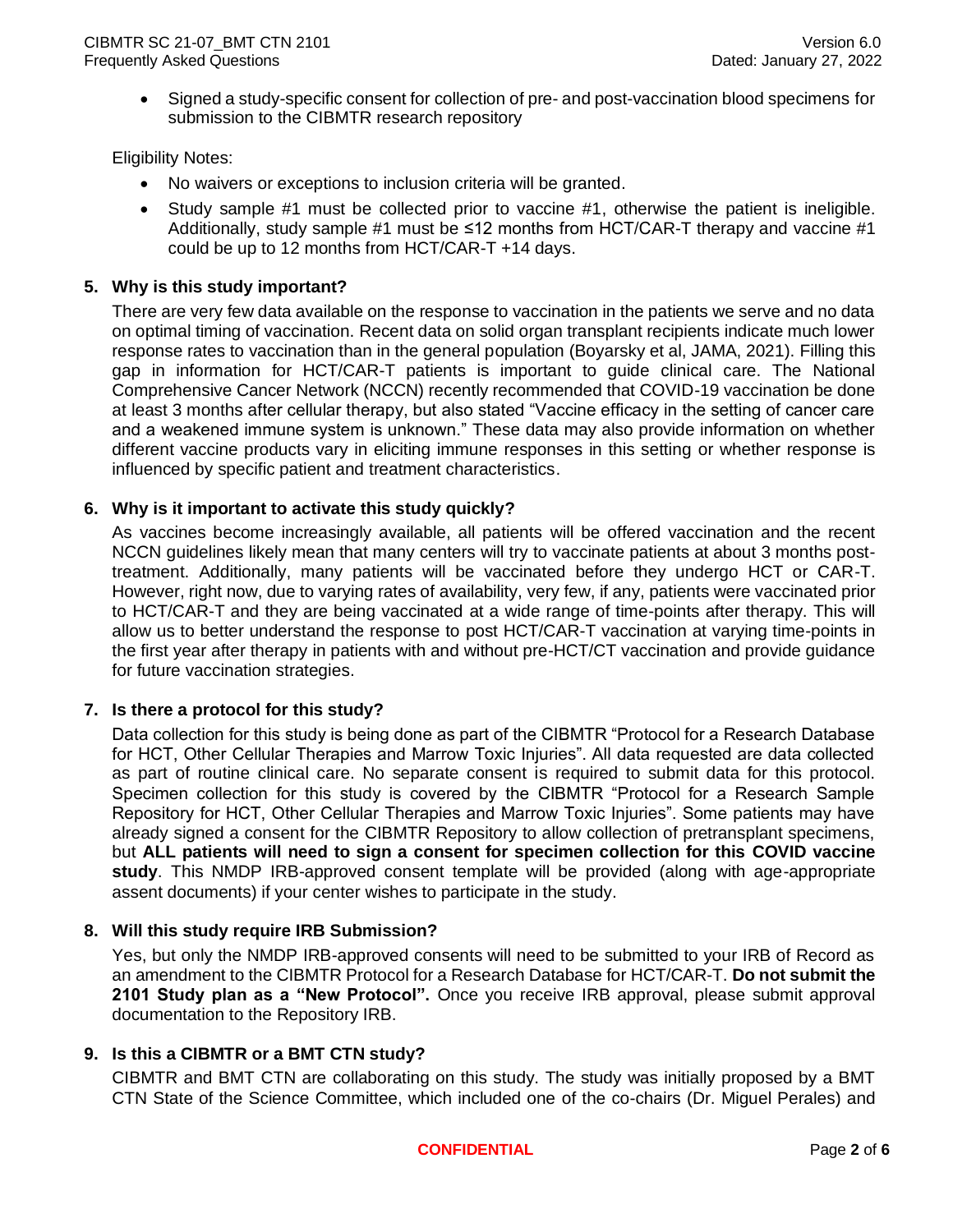• Signed a study-specific consent for collection of pre- and post-vaccination blood specimens for submission to the CIBMTR research repository

Eligibility Notes:

- No waivers or exceptions to inclusion criteria will be granted.
- Study sample #1 must be collected prior to vaccine #1, otherwise the patient is ineligible. Additionally, study sample #1 must be  $\leq 12$  months from HCT/CAR-T therapy and vaccine #1 could be up to 12 months from HCT/CAR-T +14 days.

## **5. Why is this study important?**

There are very few data available on the response to vaccination in the patients we serve and no data on optimal timing of vaccination. Recent data on solid organ transplant recipients indicate much lower response rates to vaccination than in the general population (Boyarsky et al, JAMA, 2021). Filling this gap in information for HCT/CAR-T patients is important to guide clinical care. The National Comprehensive Cancer Network (NCCN) recently recommended that COVID-19 vaccination be done at least 3 months after cellular therapy, but also stated "Vaccine efficacy in the setting of cancer care and a weakened immune system is unknown." These data may also provide information on whether different vaccine products vary in eliciting immune responses in this setting or whether response is influenced by specific patient and treatment characteristics.

## **6. Why is it important to activate this study quickly?**

As vaccines become increasingly available, all patients will be offered vaccination and the recent NCCN guidelines likely mean that many centers will try to vaccinate patients at about 3 months posttreatment. Additionally, many patients will be vaccinated before they undergo HCT or CAR-T. However, right now, due to varying rates of availability, very few, if any, patients were vaccinated prior to HCT/CAR-T and they are being vaccinated at a wide range of time-points after therapy. This will allow us to better understand the response to post HCT/CAR-T vaccination at varying time-points in the first year after therapy in patients with and without pre-HCT/CT vaccination and provide guidance for future vaccination strategies.

## **7. Is there a protocol for this study?**

Data collection for this study is being done as part of the CIBMTR "Protocol for a Research Database for HCT, Other Cellular Therapies and Marrow Toxic Injuries". All data requested are data collected as part of routine clinical care. No separate consent is required to submit data for this protocol. Specimen collection for this study is covered by the CIBMTR "Protocol for a Research Sample Repository for HCT, Other Cellular Therapies and Marrow Toxic Injuries". Some patients may have already signed a consent for the CIBMTR Repository to allow collection of pretransplant specimens, but **ALL patients will need to sign a consent for specimen collection for this COVID vaccine study**. This NMDP IRB-approved consent template will be provided (along with age-appropriate assent documents) if your center wishes to participate in the study.

## **8. Will this study require IRB Submission?**

Yes, but only the NMDP IRB-approved consents will need to be submitted to your IRB of Record as an amendment to the CIBMTR Protocol for a Research Database for HCT/CAR-T. **Do not submit the 2101 Study plan as a "New Protocol".** Once you receive IRB approval, please submit approval documentation to the Repository IRB.

## **9. Is this a CIBMTR or a BMT CTN study?**

CIBMTR and BMT CTN are collaborating on this study. The study was initially proposed by a BMT CTN State of the Science Committee, which included one of the co-chairs (Dr. Miguel Perales) and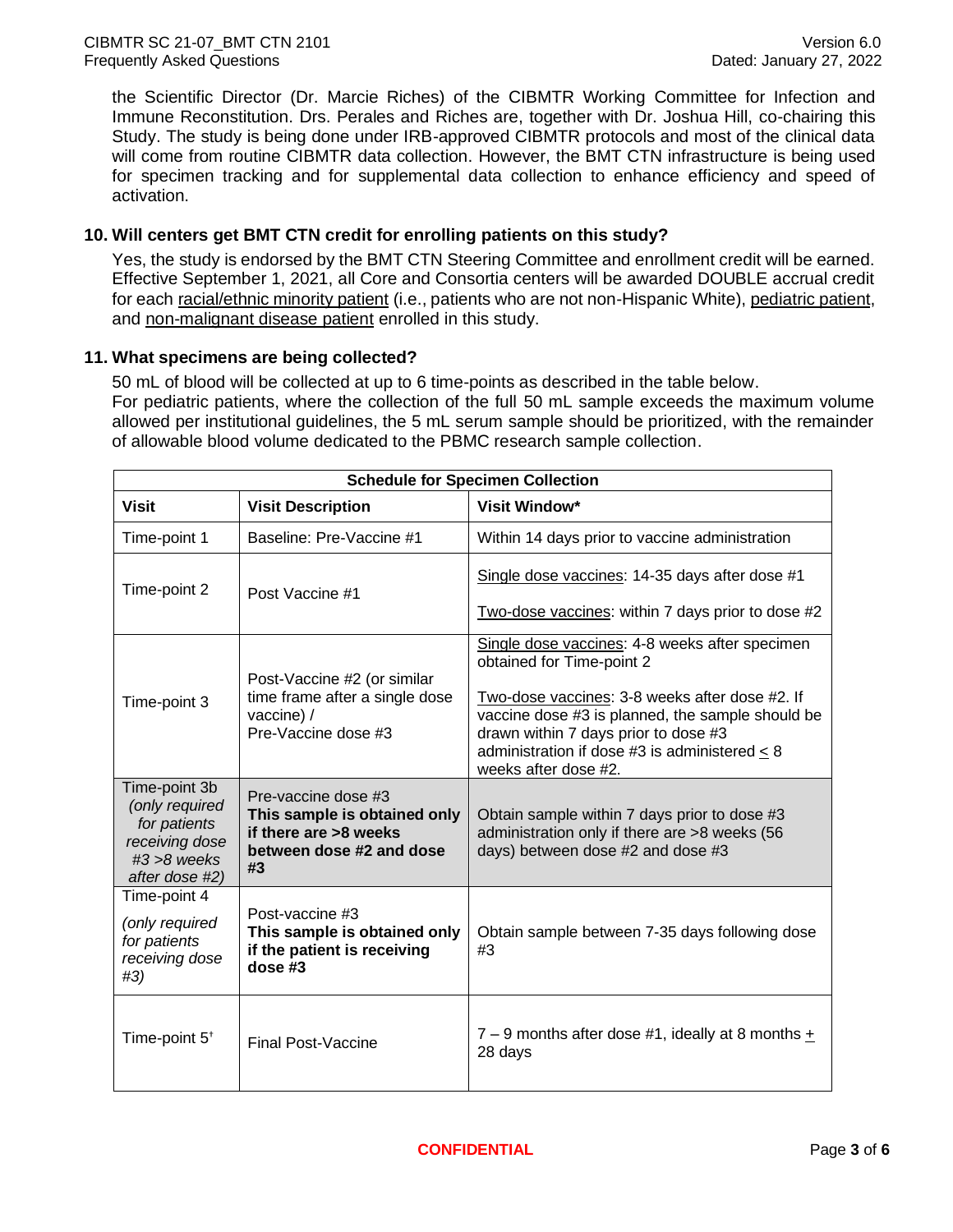the Scientific Director (Dr. Marcie Riches) of the CIBMTR Working Committee for Infection and Immune Reconstitution. Drs. Perales and Riches are, together with Dr. Joshua Hill, co-chairing this Study. The study is being done under IRB-approved CIBMTR protocols and most of the clinical data will come from routine CIBMTR data collection. However, the BMT CTN infrastructure is being used for specimen tracking and for supplemental data collection to enhance efficiency and speed of activation.

## **10. Will centers get BMT CTN credit for enrolling patients on this study?**

Yes, the study is endorsed by the BMT CTN Steering Committee and enrollment credit will be earned. Effective September 1, 2021, all Core and Consortia centers will be awarded DOUBLE accrual credit for each racial/ethnic minority patient (i.e., patients who are not non-Hispanic White), pediatric patient, and non-malignant disease patient enrolled in this study.

## **11. What specimens are being collected?**

50 mL of blood will be collected at up to 6 time-points as described in the table below. For pediatric patients, where the collection of the full 50 mL sample exceeds the maximum volume allowed per institutional guidelines, the 5 mL serum sample should be prioritized, with the remainder of allowable blood volume dedicated to the PBMC research sample collection.

| <b>Schedule for Specimen Collection</b>                                                               |                                                                                                                |                                                                                                                                                                                                                                                                                                    |  |  |
|-------------------------------------------------------------------------------------------------------|----------------------------------------------------------------------------------------------------------------|----------------------------------------------------------------------------------------------------------------------------------------------------------------------------------------------------------------------------------------------------------------------------------------------------|--|--|
| <b>Visit</b>                                                                                          | <b>Visit Description</b>                                                                                       | <b>Visit Window*</b>                                                                                                                                                                                                                                                                               |  |  |
| Time-point 1                                                                                          | Baseline: Pre-Vaccine #1                                                                                       | Within 14 days prior to vaccine administration                                                                                                                                                                                                                                                     |  |  |
| Time-point 2                                                                                          | Post Vaccine #1                                                                                                | Single dose vaccines: 14-35 days after dose #1<br>Two-dose vaccines: within 7 days prior to dose #2                                                                                                                                                                                                |  |  |
| Time-point 3                                                                                          | Post-Vaccine #2 (or similar<br>time frame after a single dose<br>vaccine) /<br>Pre-Vaccine dose #3             | Single dose vaccines: 4-8 weeks after specimen<br>obtained for Time-point 2<br>Two-dose vaccines: 3-8 weeks after dose #2. If<br>vaccine dose #3 is planned, the sample should be<br>drawn within 7 days prior to dose #3<br>administration if dose #3 is administered < 8<br>weeks after dose #2. |  |  |
| Time-point 3b<br>(only required<br>for patients<br>receiving dose<br>$#3 > 8$ weeks<br>after dose #2) | Pre-vaccine dose #3<br>This sample is obtained only<br>if there are >8 weeks<br>between dose #2 and dose<br>#3 | Obtain sample within 7 days prior to dose #3<br>administration only if there are >8 weeks (56<br>days) between dose #2 and dose #3                                                                                                                                                                 |  |  |
| Time-point 4<br>(only required<br>for patients<br>receiving dose<br>#3)                               | Post-vaccine #3<br>This sample is obtained only<br>if the patient is receiving<br>dose #3                      | Obtain sample between 7-35 days following dose<br>#3                                                                                                                                                                                                                                               |  |  |
| Time-point 5 <sup>+</sup>                                                                             | <b>Final Post-Vaccine</b>                                                                                      | $7 - 9$ months after dose #1, ideally at 8 months +<br>28 days                                                                                                                                                                                                                                     |  |  |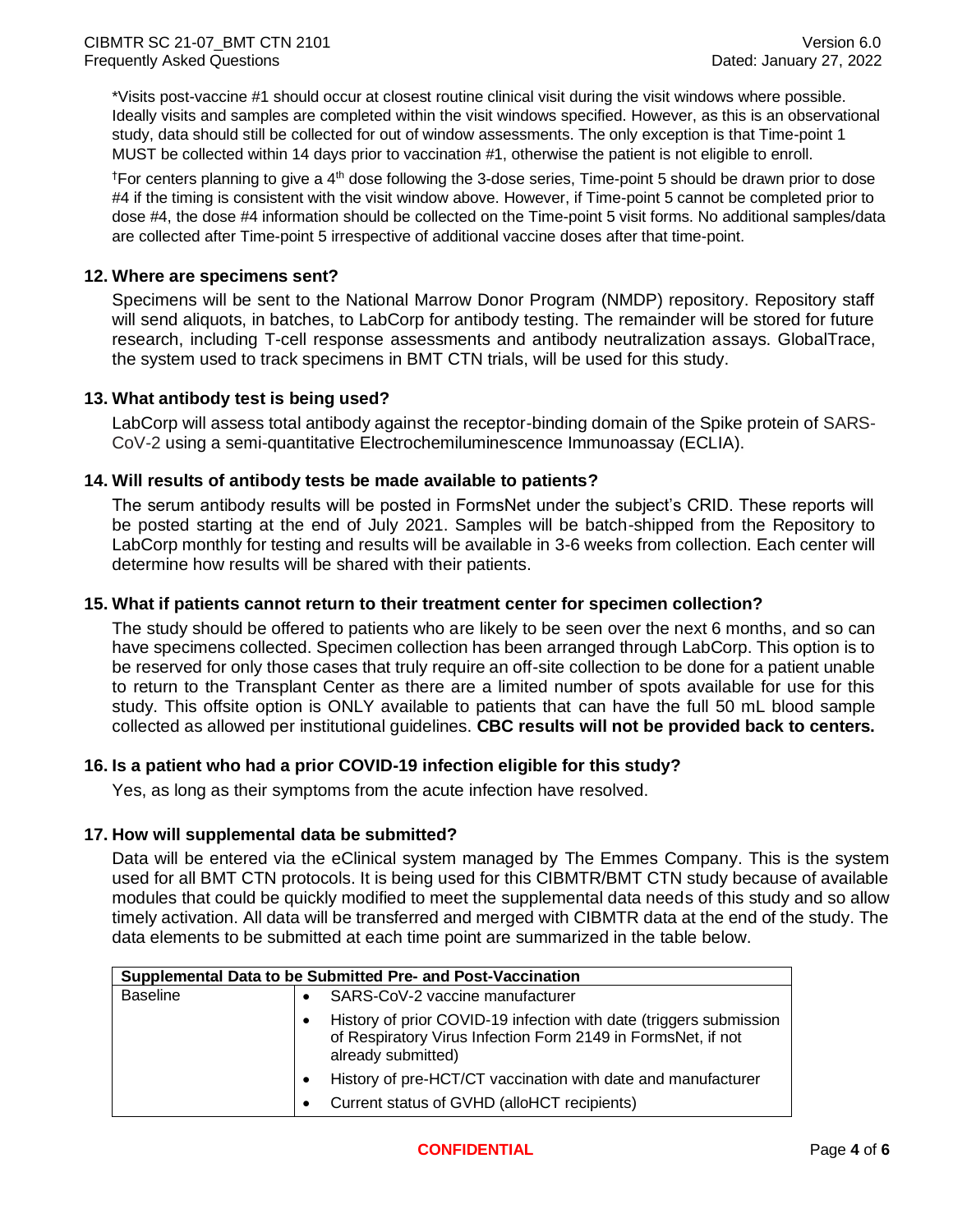\*Visits post-vaccine #1 should occur at closest routine clinical visit during the visit windows where possible. Ideally visits and samples are completed within the visit windows specified. However, as this is an observational study, data should still be collected for out of window assessments. The only exception is that Time-point 1 MUST be collected within 14 days prior to vaccination #1, otherwise the patient is not eligible to enroll.

<sup>†</sup>For centers planning to give a 4<sup>th</sup> dose following the 3-dose series, Time-point 5 should be drawn prior to dose #4 if the timing is consistent with the visit window above. However, if Time-point 5 cannot be completed prior to dose #4, the dose #4 information should be collected on the Time-point 5 visit forms. No additional samples/data are collected after Time-point 5 irrespective of additional vaccine doses after that time-point.

## **12. Where are specimens sent?**

Specimens will be sent to the National Marrow Donor Program (NMDP) repository. Repository staff will send aliquots, in batches, to LabCorp for antibody testing. The remainder will be stored for future research, including T-cell response assessments and antibody neutralization assays. GlobalTrace, the system used to track specimens in BMT CTN trials, will be used for this study.

## **13. What antibody test is being used?**

LabCorp will assess total antibody against the receptor-binding domain of the Spike protein of SARS-CoV-2 using a semi-quantitative Electrochemiluminescence Immunoassay (ECLIA).

## **14. Will results of antibody tests be made available to patients?**

The serum antibody results will be posted in FormsNet under the subject's CRID. These reports will be posted starting at the end of July 2021. Samples will be batch-shipped from the Repository to LabCorp monthly for testing and results will be available in 3-6 weeks from collection. Each center will determine how results will be shared with their patients.

#### **15. What if patients cannot return to their treatment center for specimen collection?**

The study should be offered to patients who are likely to be seen over the next 6 months, and so can have specimens collected. Specimen collection has been arranged through LabCorp. This option is to be reserved for only those cases that truly require an off-site collection to be done for a patient unable to return to the Transplant Center as there are a limited number of spots available for use for this study. This offsite option is ONLY available to patients that can have the full 50 mL blood sample collected as allowed per institutional guidelines. **CBC results will not be provided back to centers.**

## **16. Is a patient who had a prior COVID-19 infection eligible for this study?**

Yes, as long as their symptoms from the acute infection have resolved.

## **17. How will supplemental data be submitted?**

Data will be entered via the eClinical system managed by The Emmes Company. This is the system used for all BMT CTN protocols. It is being used for this CIBMTR/BMT CTN study because of available modules that could be quickly modified to meet the supplemental data needs of this study and so allow timely activation. All data will be transferred and merged with CIBMTR data at the end of the study. The data elements to be submitted at each time point are summarized in the table below.

| Supplemental Data to be Submitted Pre- and Post-Vaccination |  |                                                                                                                                                          |
|-------------------------------------------------------------|--|----------------------------------------------------------------------------------------------------------------------------------------------------------|
| <b>Baseline</b>                                             |  | SARS-CoV-2 vaccine manufacturer                                                                                                                          |
|                                                             |  | History of prior COVID-19 infection with date (triggers submission<br>of Respiratory Virus Infection Form 2149 in FormsNet, if not<br>already submitted) |
|                                                             |  | History of pre-HCT/CT vaccination with date and manufacturer                                                                                             |
|                                                             |  | Current status of GVHD (alloHCT recipients)                                                                                                              |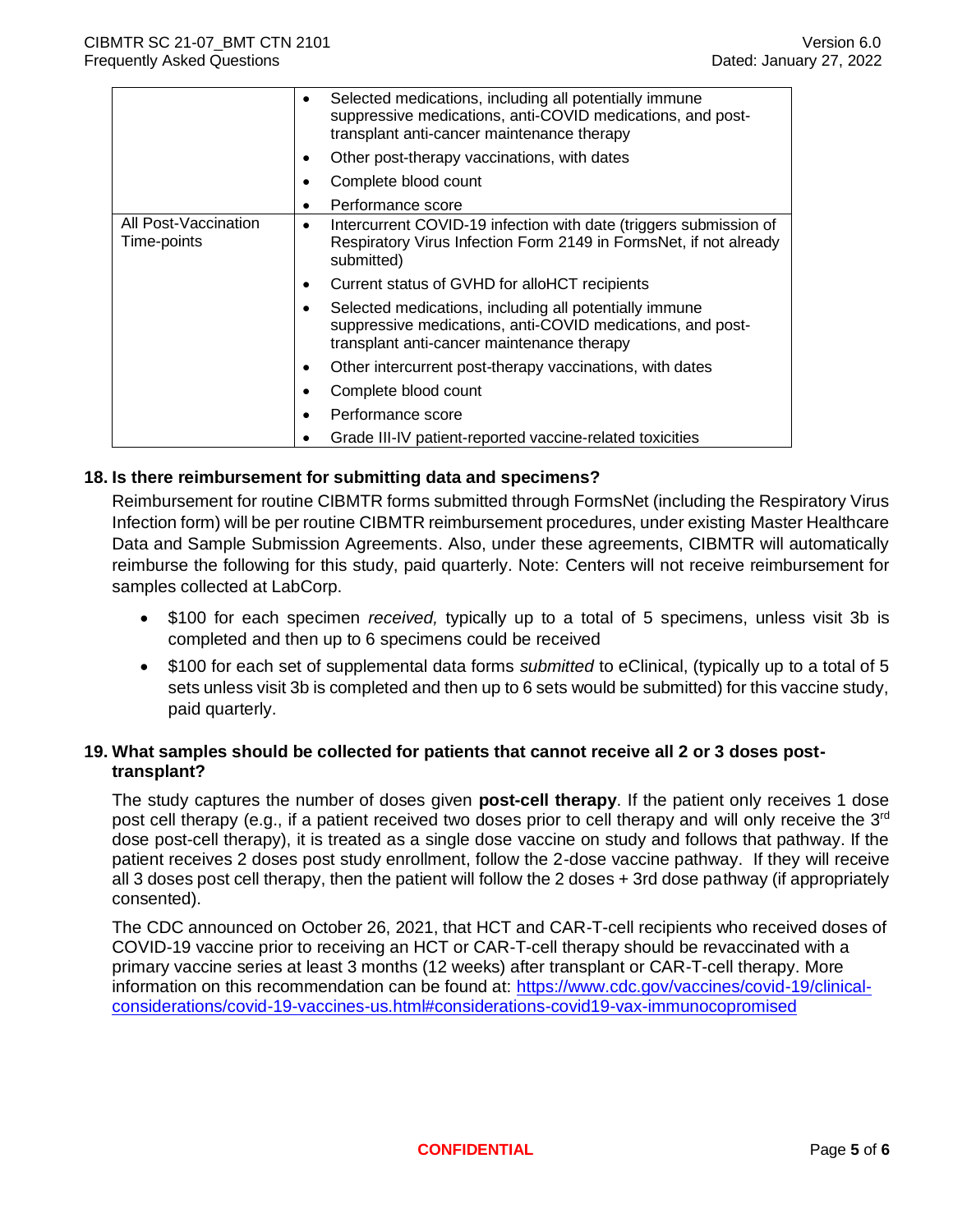|                                     | Selected medications, including all potentially immune<br>$\bullet$<br>suppressive medications, anti-COVID medications, and post-<br>transplant anti-cancer maintenance therapy |
|-------------------------------------|---------------------------------------------------------------------------------------------------------------------------------------------------------------------------------|
|                                     | Other post-therapy vaccinations, with dates                                                                                                                                     |
|                                     | Complete blood count                                                                                                                                                            |
|                                     | Performance score                                                                                                                                                               |
| All Post-Vaccination<br>Time-points | Intercurrent COVID-19 infection with date (triggers submission of<br>٠<br>Respiratory Virus Infection Form 2149 in FormsNet, if not already<br>submitted)                       |
|                                     | Current status of GVHD for alloHCT recipients<br>٠                                                                                                                              |
|                                     | Selected medications, including all potentially immune<br>suppressive medications, anti-COVID medications, and post-<br>transplant anti-cancer maintenance therapy              |
|                                     | Other intercurrent post-therapy vaccinations, with dates                                                                                                                        |
|                                     | Complete blood count                                                                                                                                                            |
|                                     | Performance score                                                                                                                                                               |
|                                     | Grade III-IV patient-reported vaccine-related toxicities                                                                                                                        |

## **18. Is there reimbursement for submitting data and specimens?**

Reimbursement for routine CIBMTR forms submitted through FormsNet (including the Respiratory Virus Infection form) will be per routine CIBMTR reimbursement procedures, under existing Master Healthcare Data and Sample Submission Agreements. Also, under these agreements, CIBMTR will automatically reimburse the following for this study, paid quarterly. Note: Centers will not receive reimbursement for samples collected at LabCorp.

- \$100 for each specimen *received,* typically up to a total of 5 specimens, unless visit 3b is completed and then up to 6 specimens could be received
- \$100 for each set of supplemental data forms *submitted* to eClinical, (typically up to a total of 5 sets unless visit 3b is completed and then up to 6 sets would be submitted) for this vaccine study, paid quarterly.

## **19. What samples should be collected for patients that cannot receive all 2 or 3 doses posttransplant?**

The study captures the number of doses given **post-cell therapy**. If the patient only receives 1 dose post cell therapy (e.g., if a patient received two doses prior to cell therapy and will only receive the 3<sup>rd</sup> dose post-cell therapy), it is treated as a single dose vaccine on study and follows that pathway. If the patient receives 2 doses post study enrollment, follow the 2-dose vaccine pathway. If they will receive all 3 doses post cell therapy, then the patient will follow the 2 doses + 3rd dose pathway (if appropriately consented).

The CDC announced on October 26, 2021, that HCT and CAR-T-cell recipients who received doses of COVID-19 vaccine prior to receiving an HCT or CAR-T-cell therapy should be revaccinated with a primary vaccine series at least 3 months (12 weeks) after transplant or CAR-T-cell therapy. More information on this recommendation can be found at: [https://www.cdc.gov/vaccines/covid-19/clinical](https://www.cdc.gov/vaccines/covid-19/clinical-considerations/covid-19-vaccines-us.html#considerations-covid19-vax-immunocopromised)[considerations/covid-19-vaccines-us.html#considerations-covid19-vax-immunocopromised](https://www.cdc.gov/vaccines/covid-19/clinical-considerations/covid-19-vaccines-us.html#considerations-covid19-vax-immunocopromised)